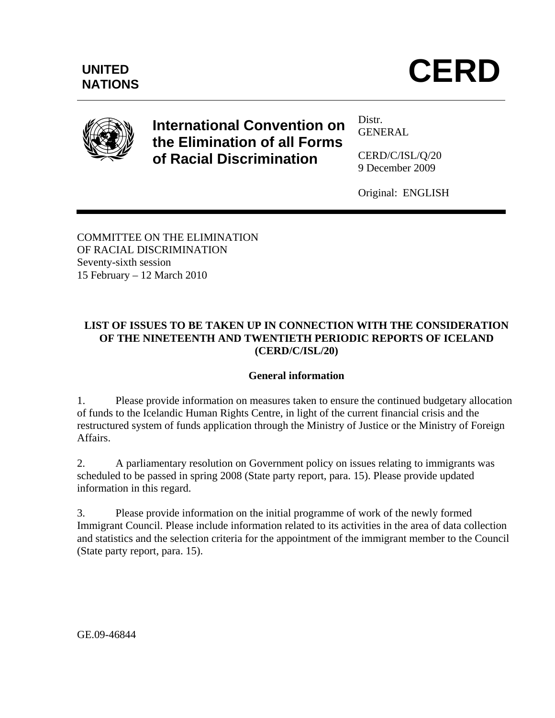



# **International Convention on the Elimination of all Forms of Racial Discrimination**

Distr. GENERAL

CERD/C/ISL/Q/20 9 December 2009

Original: ENGLISH

COMMITTEE ON THE ELIMINATION OF RACIAL DISCRIMINATION Seventy-sixth session 15 February – 12 March 2010

# **LIST OF ISSUES TO BE TAKEN UP IN CONNECTION WITH THE CONSIDERATION OF THE NINETEENTH AND TWENTIETH PERIODIC REPORTS OF ICELAND (CERD/C/ISL/20)**

#### **General information**

1. Please provide information on measures taken to ensure the continued budgetary allocation of funds to the Icelandic Human Rights Centre, in light of the current financial crisis and the restructured system of funds application through the Ministry of Justice or the Ministry of Foreign Affairs.

2. A parliamentary resolution on Government policy on issues relating to immigrants was scheduled to be passed in spring 2008 (State party report, para. 15). Please provide updated information in this regard.

3. Please provide information on the initial programme of work of the newly formed Immigrant Council. Please include information related to its activities in the area of data collection and statistics and the selection criteria for the appointment of the immigrant member to the Council (State party report, para. 15).

GE.09-46844